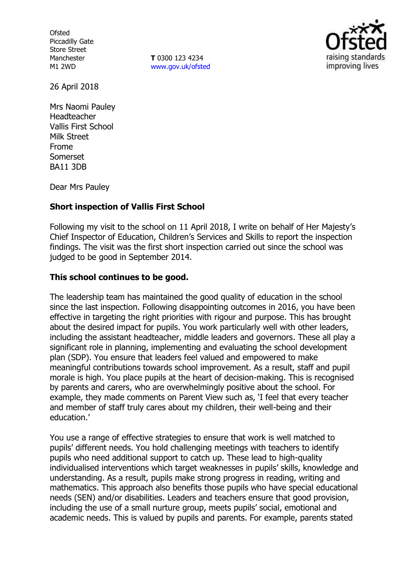**Ofsted** Piccadilly Gate Store Street Manchester M1 2WD

**T** 0300 123 4234 [www.gov.uk/ofsted](http://www.gov.uk/ofsted)



26 April 2018

Mrs Naomi Pauley Headteacher Vallis First School Milk Street Frome Somerset BA11 3DB

Dear Mrs Pauley

## **Short inspection of Vallis First School**

Following my visit to the school on 11 April 2018, I write on behalf of Her Majesty's Chief Inspector of Education, Children's Services and Skills to report the inspection findings. The visit was the first short inspection carried out since the school was judged to be good in September 2014.

## **This school continues to be good.**

The leadership team has maintained the good quality of education in the school since the last inspection. Following disappointing outcomes in 2016, you have been effective in targeting the right priorities with rigour and purpose. This has brought about the desired impact for pupils. You work particularly well with other leaders, including the assistant headteacher, middle leaders and governors. These all play a significant role in planning, implementing and evaluating the school development plan (SDP). You ensure that leaders feel valued and empowered to make meaningful contributions towards school improvement. As a result, staff and pupil morale is high. You place pupils at the heart of decision-making. This is recognised by parents and carers, who are overwhelmingly positive about the school. For example, they made comments on Parent View such as, 'I feel that every teacher and member of staff truly cares about my children, their well-being and their education.'

You use a range of effective strategies to ensure that work is well matched to pupils' different needs. You hold challenging meetings with teachers to identify pupils who need additional support to catch up. These lead to high-quality individualised interventions which target weaknesses in pupils' skills, knowledge and understanding. As a result, pupils make strong progress in reading, writing and mathematics. This approach also benefits those pupils who have special educational needs (SEN) and/or disabilities. Leaders and teachers ensure that good provision, including the use of a small nurture group, meets pupils' social, emotional and academic needs. This is valued by pupils and parents. For example, parents stated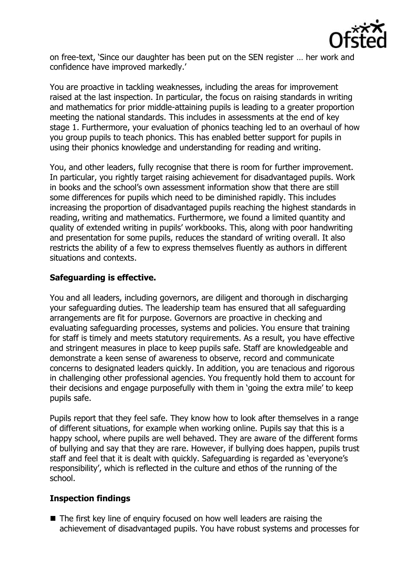

on free-text, 'Since our daughter has been put on the SEN register … her work and confidence have improved markedly.'

You are proactive in tackling weaknesses, including the areas for improvement raised at the last inspection. In particular, the focus on raising standards in writing and mathematics for prior middle-attaining pupils is leading to a greater proportion meeting the national standards. This includes in assessments at the end of key stage 1. Furthermore, your evaluation of phonics teaching led to an overhaul of how you group pupils to teach phonics. This has enabled better support for pupils in using their phonics knowledge and understanding for reading and writing.

You, and other leaders, fully recognise that there is room for further improvement. In particular, you rightly target raising achievement for disadvantaged pupils. Work in books and the school's own assessment information show that there are still some differences for pupils which need to be diminished rapidly. This includes increasing the proportion of disadvantaged pupils reaching the highest standards in reading, writing and mathematics. Furthermore, we found a limited quantity and quality of extended writing in pupils' workbooks. This, along with poor handwriting and presentation for some pupils, reduces the standard of writing overall. It also restricts the ability of a few to express themselves fluently as authors in different situations and contexts.

# **Safeguarding is effective.**

You and all leaders, including governors, are diligent and thorough in discharging your safeguarding duties. The leadership team has ensured that all safeguarding arrangements are fit for purpose. Governors are proactive in checking and evaluating safeguarding processes, systems and policies. You ensure that training for staff is timely and meets statutory requirements. As a result, you have effective and stringent measures in place to keep pupils safe. Staff are knowledgeable and demonstrate a keen sense of awareness to observe, record and communicate concerns to designated leaders quickly. In addition, you are tenacious and rigorous in challenging other professional agencies. You frequently hold them to account for their decisions and engage purposefully with them in 'going the extra mile' to keep pupils safe.

Pupils report that they feel safe. They know how to look after themselves in a range of different situations, for example when working online. Pupils say that this is a happy school, where pupils are well behaved. They are aware of the different forms of bullying and say that they are rare. However, if bullying does happen, pupils trust staff and feel that it is dealt with quickly. Safeguarding is regarded as 'everyone's responsibility', which is reflected in the culture and ethos of the running of the school.

## **Inspection findings**

■ The first key line of enquiry focused on how well leaders are raising the achievement of disadvantaged pupils. You have robust systems and processes for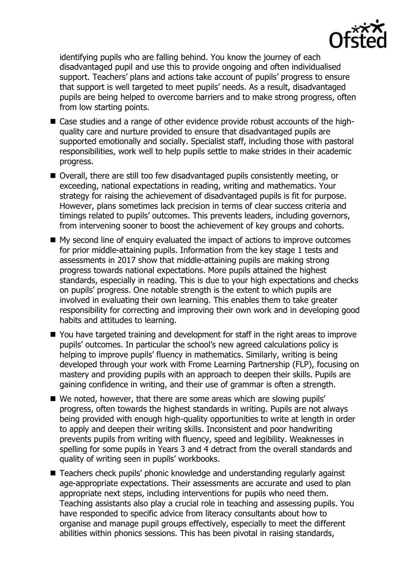

identifying pupils who are falling behind. You know the journey of each disadvantaged pupil and use this to provide ongoing and often individualised support. Teachers' plans and actions take account of pupils' progress to ensure that support is well targeted to meet pupils' needs. As a result, disadvantaged pupils are being helped to overcome barriers and to make strong progress, often from low starting points.

- Case studies and a range of other evidence provide robust accounts of the highquality care and nurture provided to ensure that disadvantaged pupils are supported emotionally and socially. Specialist staff, including those with pastoral responsibilities, work well to help pupils settle to make strides in their academic progress.
- Overall, there are still too few disadvantaged pupils consistently meeting, or exceeding, national expectations in reading, writing and mathematics. Your strategy for raising the achievement of disadvantaged pupils is fit for purpose. However, plans sometimes lack precision in terms of clear success criteria and timings related to pupils' outcomes. This prevents leaders, including governors, from intervening sooner to boost the achievement of key groups and cohorts.
- My second line of enquiry evaluated the impact of actions to improve outcomes for prior middle-attaining pupils. Information from the key stage 1 tests and assessments in 2017 show that middle-attaining pupils are making strong progress towards national expectations. More pupils attained the highest standards, especially in reading. This is due to your high expectations and checks on pupils' progress. One notable strength is the extent to which pupils are involved in evaluating their own learning. This enables them to take greater responsibility for correcting and improving their own work and in developing good habits and attitudes to learning.
- You have targeted training and development for staff in the right areas to improve pupils' outcomes. In particular the school's new agreed calculations policy is helping to improve pupils' fluency in mathematics. Similarly, writing is being developed through your work with Frome Learning Partnership (FLP), focusing on mastery and providing pupils with an approach to deepen their skills. Pupils are gaining confidence in writing, and their use of grammar is often a strength.
- We noted, however, that there are some areas which are slowing pupils' progress, often towards the highest standards in writing. Pupils are not always being provided with enough high-quality opportunities to write at length in order to apply and deepen their writing skills. Inconsistent and poor handwriting prevents pupils from writing with fluency, speed and legibility. Weaknesses in spelling for some pupils in Years 3 and 4 detract from the overall standards and quality of writing seen in pupils' workbooks.
- Teachers check pupils' phonic knowledge and understanding regularly against age-appropriate expectations. Their assessments are accurate and used to plan appropriate next steps, including interventions for pupils who need them. Teaching assistants also play a crucial role in teaching and assessing pupils. You have responded to specific advice from literacy consultants about how to organise and manage pupil groups effectively, especially to meet the different abilities within phonics sessions. This has been pivotal in raising standards,